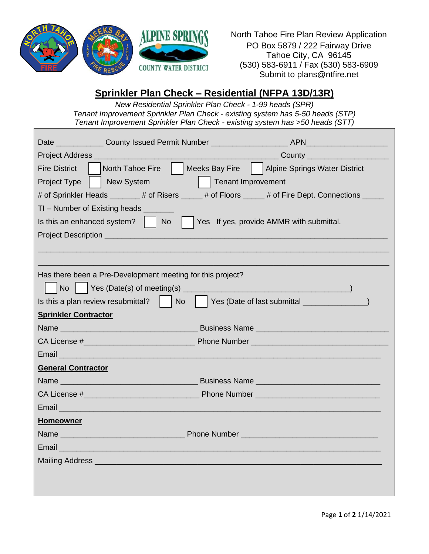

North Tahoe Fire Plan Review Application PO Box 5879 / 222 Fairway Drive Tahoe City, CA 96145 (530) 583-6911 / Fax (530) 583-6909 Submit to plans@ntfire.net

## **Sprinkler Plan Check – Residential (NFPA 13D/13R)**

*New Residential Sprinkler Plan Check - 1-99 heads (SPR) Tenant Improvement Sprinkler Plan Check - existing system has 5-50 heads (STP) Tenant Improvement Sprinkler Plan Check - existing system has >50 heads (STT)*

| North Tahoe Fire     Meeks Bay Fire     Alpine Springs Water District<br><b>Fire District</b>                                                                                                                                  |  |  |  |
|--------------------------------------------------------------------------------------------------------------------------------------------------------------------------------------------------------------------------------|--|--|--|
| <b>Tenant Improvement</b><br>Project Type<br>  New System                                                                                                                                                                      |  |  |  |
| # of Sprinkler Heads _______ # of Risers _____ # of Floors _____ # of Fire Dept. Connections _____                                                                                                                             |  |  |  |
| TI – Number of Existing heads _____                                                                                                                                                                                            |  |  |  |
| Yes If yes, provide AMMR with submittal.<br>Is this an enhanced system? $\vert$   No                                                                                                                                           |  |  |  |
|                                                                                                                                                                                                                                |  |  |  |
|                                                                                                                                                                                                                                |  |  |  |
|                                                                                                                                                                                                                                |  |  |  |
| Has there been a Pre-Development meeting for this project?                                                                                                                                                                     |  |  |  |
|                                                                                                                                                                                                                                |  |  |  |
|                                                                                                                                                                                                                                |  |  |  |
| <b>Sprinkler Contractor</b>                                                                                                                                                                                                    |  |  |  |
|                                                                                                                                                                                                                                |  |  |  |
|                                                                                                                                                                                                                                |  |  |  |
| Email et al. 2003 and 2004 and 2005 and 2006 and 2007 and 2007 and 2007 and 2007 and 2007 and 2007 and                                                                                                                         |  |  |  |
| <b>General Contractor</b>                                                                                                                                                                                                      |  |  |  |
|                                                                                                                                                                                                                                |  |  |  |
|                                                                                                                                                                                                                                |  |  |  |
| Email and the contract of the contract of the contract of the contract of the contract of                                                                                                                                      |  |  |  |
| <b>Homeowner</b>                                                                                                                                                                                                               |  |  |  |
| <b>Name Example 2008 Contract Contract Phone Number Contract Contract Contract Contract Contract Contract Contract Contract Contract Contract Contract Contract Contract Contract Contract Contract Contract Contract Cont</b> |  |  |  |
| Email Letter Library                                                                                                                                                                                                           |  |  |  |
|                                                                                                                                                                                                                                |  |  |  |
|                                                                                                                                                                                                                                |  |  |  |
|                                                                                                                                                                                                                                |  |  |  |